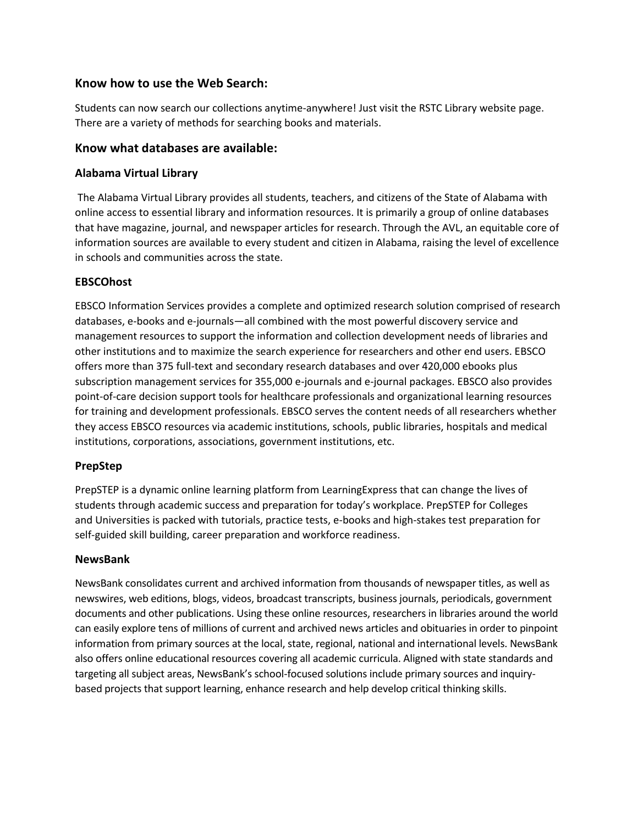## **Know how to use the Web Search:**

Students can now search our collections anytime-anywhere! Just visit the RSTC Library website page. There are a variety of methods for searching books and materials.

## **Know what databases are available:**

### **Alabama Virtual Library**

The Alabama Virtual Library provides all students, teachers, and citizens of the State of Alabama with online access to essential library and information resources. It is primarily a group of online databases that have magazine, journal, and newspaper articles for research. Through the AVL, an equitable core of information sources are available to every student and citizen in Alabama, raising the level of excellence in schools and communities across the state.

#### **EBSCOhost**

EBSCO Information Services provides a complete and optimized research solution comprised of research databases, e-books and e-journals—all combined with the most powerful discovery service and management resources to support the information and collection development needs of libraries and other institutions and to maximize the search experience for researchers and other end users. EBSCO offers more than 375 full-text and secondary research databases and over 420,000 ebooks plus subscription management services for 355,000 e-journals and e-journal packages. EBSCO also provides point-of-care decision support tools for healthcare professionals and organizational learning resources for training and development professionals. EBSCO serves the content needs of all researchers whether they access EBSCO resources via academic institutions, schools, public libraries, hospitals and medical institutions, corporations, associations, government institutions, etc.

## **PrepStep**

PrepSTEP is a dynamic online learning platform from LearningExpress that can change the lives of students through academic success and preparation for today's workplace. PrepSTEP for Colleges and Universities is packed with tutorials, practice tests, e-books and high-stakes test preparation for self-guided skill building, career preparation and workforce readiness.

#### **NewsBank**

NewsBank consolidates current and archived information from thousands of newspaper titles, as well as newswires, web editions, blogs, videos, broadcast transcripts, business journals, periodicals, government documents and other publications. Using these online resources, researchers in libraries around the world can easily explore tens of millions of current and archived news articles and obituaries in order to pinpoint information from primary sources at the local, state, regional, national and international levels. NewsBank also offers online educational resources covering all academic curricula. Aligned with state standards and targeting all subject areas, NewsBank's school-focused solutions include primary sources and inquirybased projects that support learning, enhance research and help develop critical thinking skills.